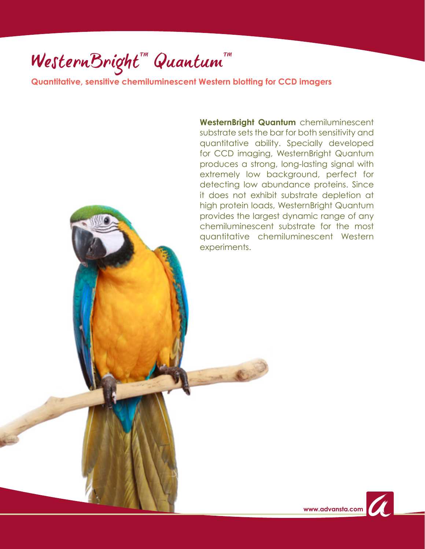**Quantitative, sensitive chemiluminescent Western blotting for CCD imagers**

**WesternBright Quantum** chemiluminescent substrate sets the bar for both sensitivity and quantitative ability. Specially developed for CCD imaging, WesternBright Quantum produces a strong, long-lasting signal with extremely low background, perfect for detecting low abundance proteins. Since it does not exhibit substrate depletion at high protein loads, WesternBright Quantum provides the largest dynamic range of any chemiluminescent substrate for the most quantitative chemiluminescent Western experiments.

**CAP** 

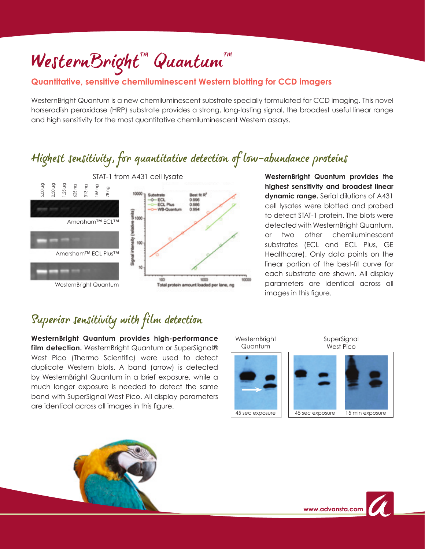### **Quantitative, sensitive chemiluminescent Western blotting for CCD imagers**

WesternBright Quantum is a new chemiluminescent substrate specially formulated for CCD imaging. This novel horseradish peroxidase (HRP) substrate provides a strong, long-lasting signal, the broadest useful linear range and high sensitivity for the most quantitative chemiluminescent Western assays.

## Highest sensitivity, for quantitative detection of low-abundance proteins



**WesternBright Quantum provides the highest sensitivity and broadest linear dynamic range.** Serial dilutions of A431 cell lysates were blotted and probed to detect STAT-1 protein. The blots were detected with WesternBright Quantum, or two other chemiluminescent substrates (ECL and ECL Plus, GE Healthcare). Only data points on the linear portion of the best-fit curve for each substrate are shown. All display parameters are identical across all images in this figure.

# Superior sensitivity with film detection

**WesternBright Quantum provides high-performance**  film detection. WesternBright Quantum or SuperSignal® West Pico (Thermo Scientific) were used to detect duplicate Western blots. A band (arrow) is detected by WesternBright Quantum in a brief exposure, while a much longer exposure is needed to detect the same band with SuperSignal West Pico. All display parameters are identical across all images in this figure.



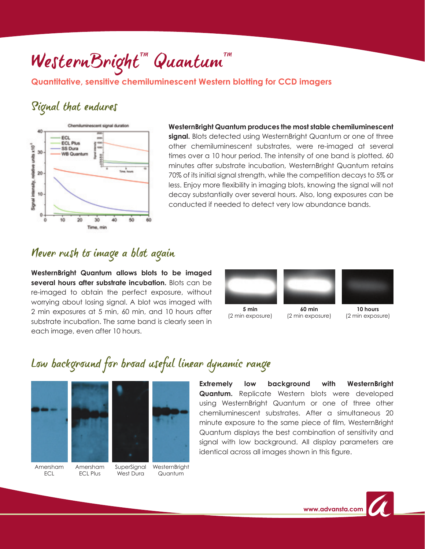#### **Quantitative, sensitive chemiluminescent Western blotting for CCD imagers**

### Signal that endures



**WesternBright Quantum produces the most stable chemiluminescent**  signal. Blots detected using WesternBright Quantum or one of three other chemiluminescent substrates, were re-imaged at several times over a 10 hour period. The intensity of one band is plotted. 60 minutes after substrate incubation, WesternBright Quantum retains 70% of its initial signal strength, while the competition decays to 5% or less. Enjoy more flexibility in imaging blots, knowing the signal will not decay substantially over several hours. Also, long exposures can be conducted if needed to detect very low abundance bands.

## Never rush to image a blot again

**WesternBright Quantum allows blots to be imaged several hours after substrate incubation.** Blots can be re-imaged to obtain the perfect exposure, without worrying about losing signal. A blot was imaged with 2 min exposures at 5 min, 60 min, and 10 hours after substrate incubation. The same band is clearly seen in each image, even after 10 hours.



**5 min** (2 min exposure)

**60 min** (2 min exposure)



**10 hours** (2 min exposure)

## Low background for broad useful linear dynamic range





Amersham ECL

Amersham ECL Plus

SuperSignal West Dura

**WesternBright** Quantum

**Extremely low background with WesternBright Quantum.** Replicate Western blots were developed using WesternBright Quantum or one of three other chemiluminescent substrates. After a simultaneous 20 minute exposure to the same piece of film, WesternBright Quantum displays the best combination of sensitivity and signal with low background. All display parameters are identical across all images shown in this figure.